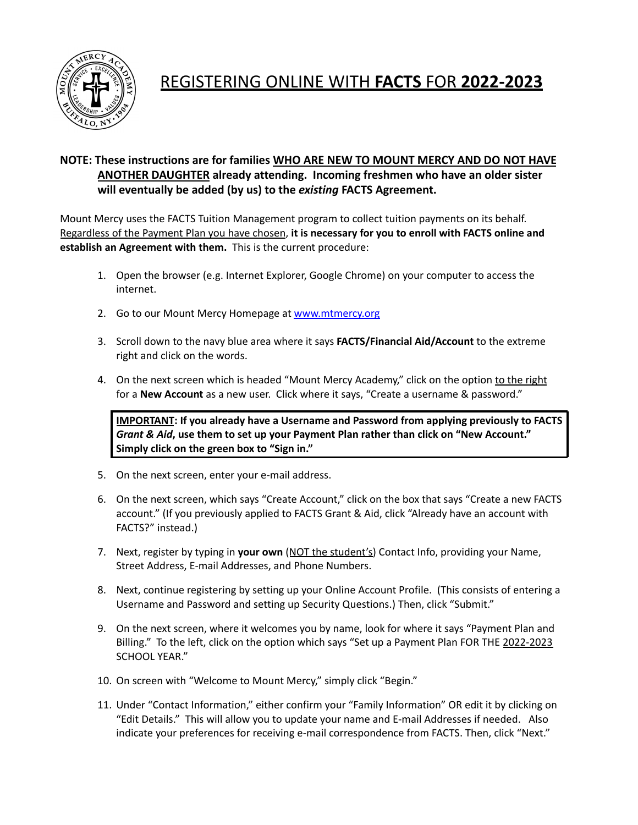

## REGISTERING ONLINE WITH **FACTS** FOR **2022-2023**

## **NOTE: These instructions are for families WHO ARE NEW TO MOUNT MERCY AND DO NOT HAVE ANOTHER DAUGHTER already attending. Incoming freshmen who have an older sister will eventually be added (by us) to the** *existing* **FACTS Agreement.**

Mount Mercy uses the FACTS Tuition Management program to collect tuition payments on its behalf. Regardless of the Payment Plan you have chosen, **it is necessary for you to enroll with FACTS online and establish an Agreement with them.** This is the current procedure:

- 1. Open the browser (e.g. Internet Explorer, Google Chrome) on your computer to access the internet.
- 2. Go to our Mount Mercy Homepage at [www.mtmercy.org](http://www.mtmercy.org)
- 3. Scroll down to the navy blue area where it says **FACTS/Financial Aid/Account** to the extreme right and click on the words.
- 4. On the next screen which is headed "Mount Mercy Academy," click on the option to the right for a **New Account** as a new user. Click where it says, "Create a username & password."

**IMPORTANT: If you already have a Username and Password from applying previously to FACTS** *Grant & Aid***, use them to set up your Payment Plan rather than click on "New Account." Simply click on the green box to "Sign in."**

- 5. On the next screen, enter your e-mail address.
- 6. On the next screen, which says "Create Account," click on the box that says "Create a new FACTS account." (If you previously applied to FACTS Grant & Aid, click "Already have an account with FACTS?" instead.)
- 7. Next, register by typing in **your own** (NOT the student's) Contact Info, providing your Name, Street Address, E-mail Addresses, and Phone Numbers.
- 8. Next, continue registering by setting up your Online Account Profile. (This consists of entering a Username and Password and setting up Security Questions.) Then, click "Submit."
- 9. On the next screen, where it welcomes you by name, look for where it says "Payment Plan and Billing." To the left, click on the option which says "Set up a Payment Plan FOR THE 2022-2023 SCHOOL YEAR."
- 10. On screen with "Welcome to Mount Mercy," simply click "Begin."
- 11. Under "Contact Information," either confirm your "Family Information" OR edit it by clicking on "Edit Details." This will allow you to update your name and E-mail Addresses if needed. Also indicate your preferences for receiving e-mail correspondence from FACTS. Then, click "Next."